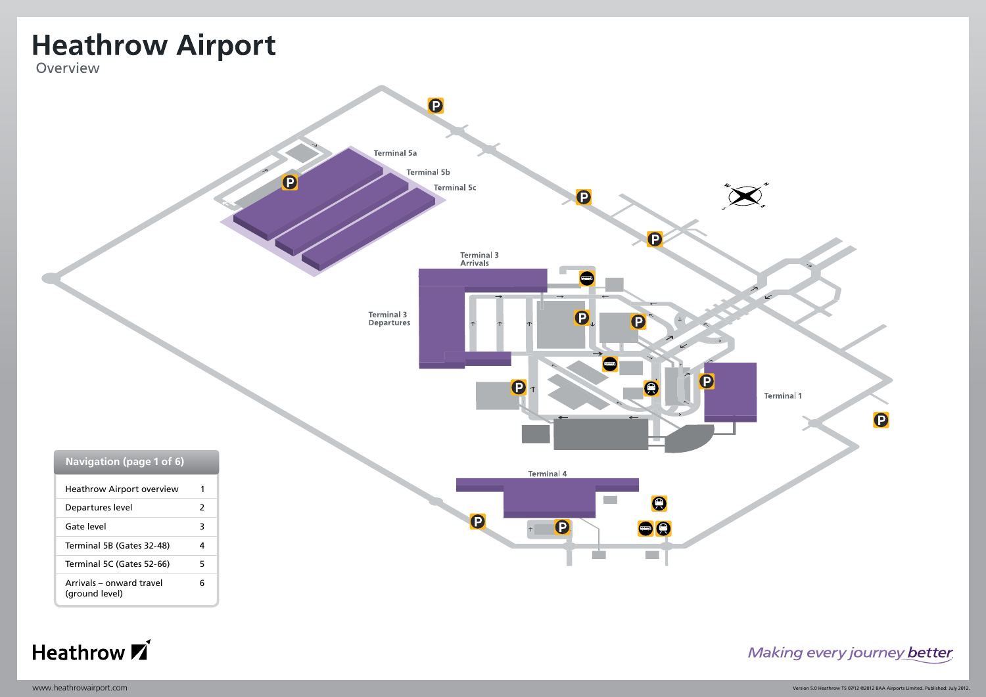<span id="page-0-0"></span>





Making every journey better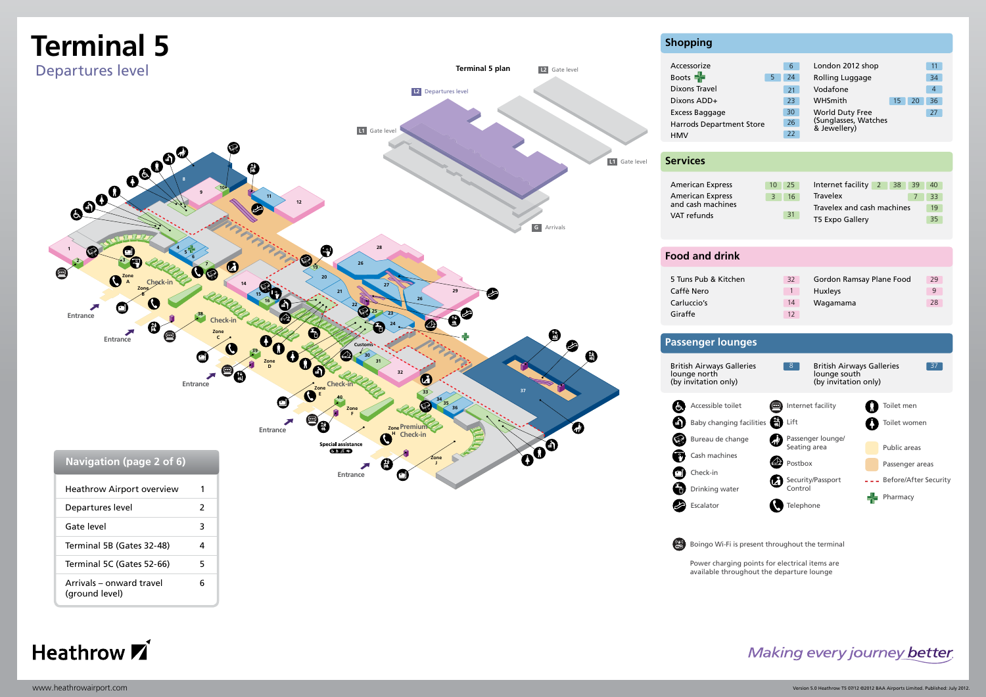<span id="page-1-0"></span>

#### **Shopping** Accessorize London 2012 shop 11 6 Boots **-**Rolling Luggage 5 24 34 Dixons Travel Vodafone 21 4 Dixons ADD+ 23 WHSmith 15 20 36 WHSmith Excess Baggage 30 World Duty Free 27 (Sunglasses, Watches 26 Harrods Department Store & Jewellery) 22 HMV **Services** American Express 10 25 Internet facility 40 25 2 38 39 American Express 3 16 Travelex 7 33 and cash machines Travelex and cash machines 19 VAT refunds 31 T5 Expo Gallery 35 **Food and drink** 5 Tuns Pub & Kitchen Gordon Ramsay Plane Food 32 29 Caffè Nero 1 Huxleys 9 Carluccio's Wagamama 14 28 Giraffe 12 **Passenger lounges** British Airways Galleries 8 British Airways Galleries 27 lounge north lounge south (by invitation only) (by invitation only) A Accessible toilet **Internet facility** Toilet men Toilet women Baby changing facilities **(m)** Lift  $\circledS$ Bureau de change Passenger lounge/ Seating area Public areas  $\mathbf{\Phi}$ Cash machines **Postbox** Passenger areas  $\bullet$ Check-in Security/Passport - Before/After Security A Drinking water Control Pharmacy ☎ Escalator **R** Telephone

Boingo Wi-Fi is present throughout the terminal

Power charging points for electrical items are available throughout the departure lounge

Making every journey better

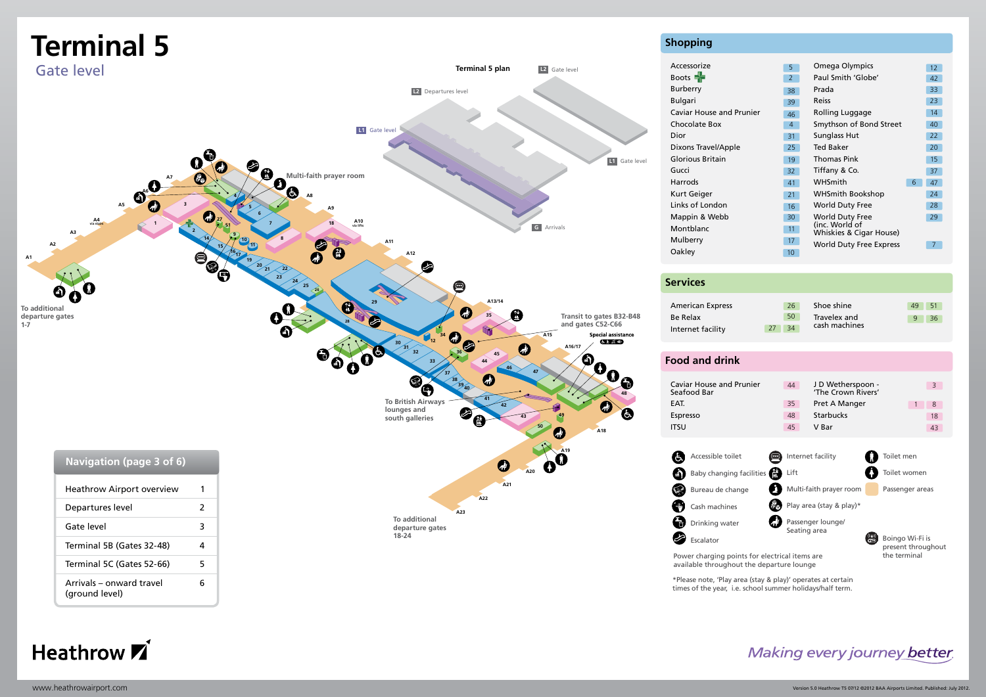<span id="page-2-0"></span>

Heathrow **Z**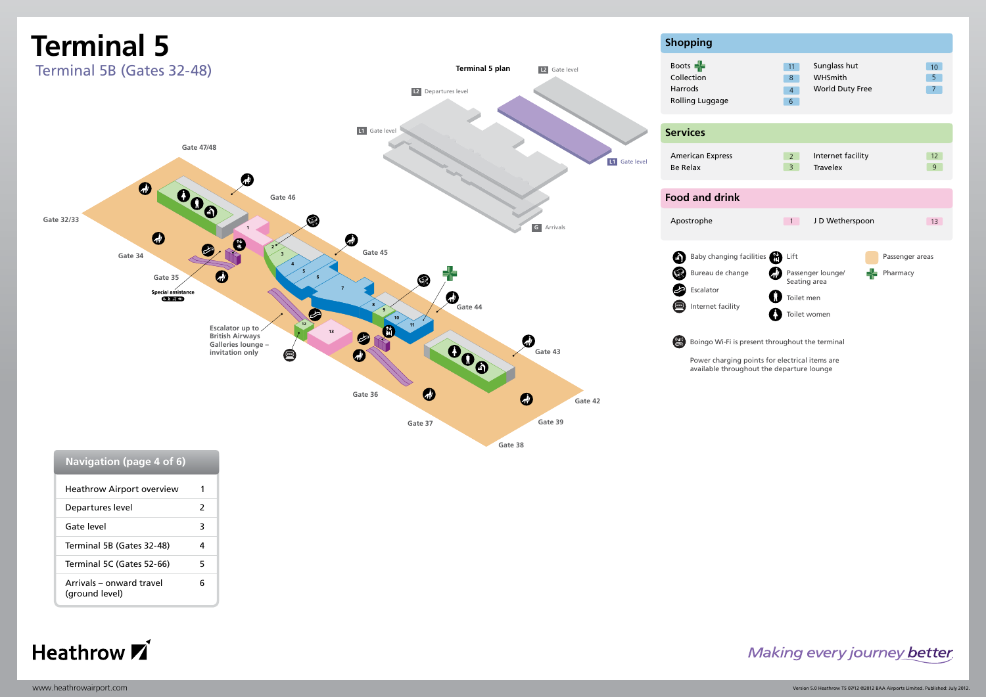<span id="page-3-0"></span>

| waviyativii (pay <del>c</del> + vi v <i>j</i> |   |
|-----------------------------------------------|---|
| <b>Heathrow Airport overview</b>              |   |
| Departures level                              | 2 |
| Gate level                                    | 3 |
| Terminal 5B (Gates 32-48)                     | 4 |
| Terminal 5C (Gates 52-66)                     | 5 |
| Arrivals – onward travel<br>(ground level)    | ĥ |

Heathrow **7** 

#### Making every journey better

 $\begin{array}{c} 12 \\ 9 \end{array}$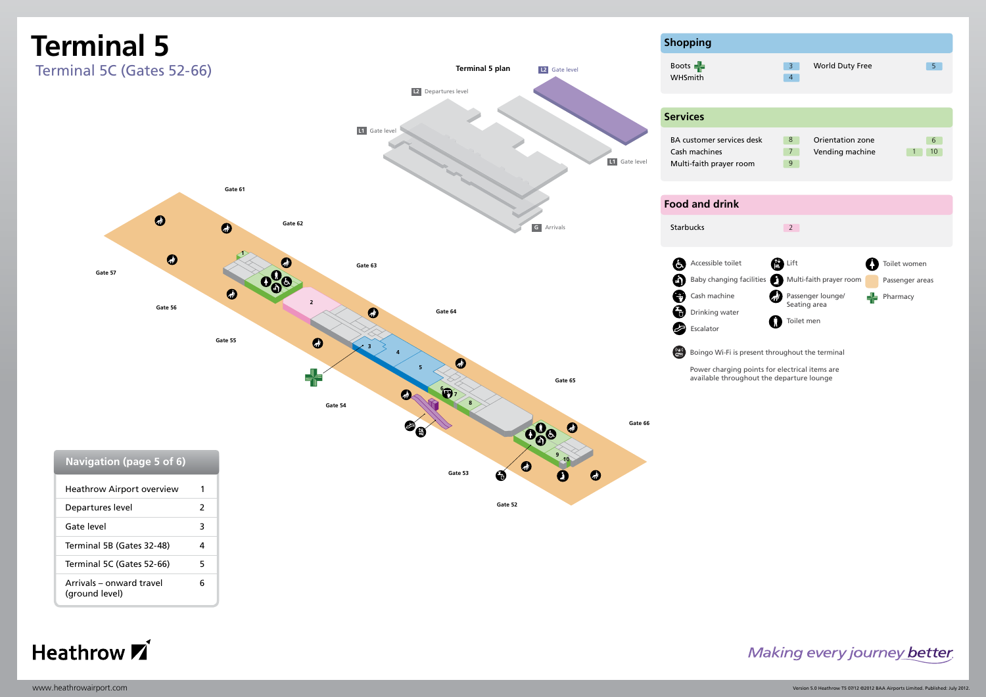<span id="page-4-0"></span>



#### Making every journey better